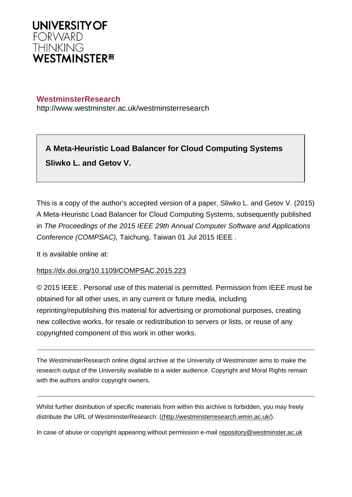

# **WestminsterResearch**

http://www.westminster.ac.uk/westminsterresearch

**A Meta-Heuristic Load Balancer for Cloud Computing Systems Sliwko L. and Getov V.**

This is a copy of the author's accepted version of a paper, Sliwko L. and Getov V. (2015) A Meta-Heuristic Load Balancer for Cloud Computing Systems, subsequently published in The Proceedings of the 2015 IEEE 29th Annual Computer Software and Applications Conference (COMPSAC), Taichung, Taiwan 01 Jul 2015 IEEE .

It is available online at:

<https://dx.doi.org/10.1109/COMPSAC.2015.223>

© 2015 IEEE . Personal use of this material is permitted. Permission from IEEE must be obtained for all other uses, in any current or future media, including reprinting/republishing this material for advertising or promotional purposes, creating new collective works, for resale or redistribution to servers or lists, or reuse of any copyrighted component of this work in other works.

The WestminsterResearch online digital archive at the University of Westminster aims to make the research output of the University available to a wider audience. Copyright and Moral Rights remain with the authors and/or copyright owners.

Whilst further distribution of specific materials from within this archive is forbidden, you may freely distribute the URL of WestminsterResearch: [\(\(http://westminsterresearch.wmin.ac.uk/](http://westminsterresearch.wmin.ac.uk/)).

In case of abuse or copyright appearing without permission e-mail <repository@westminster.ac.uk>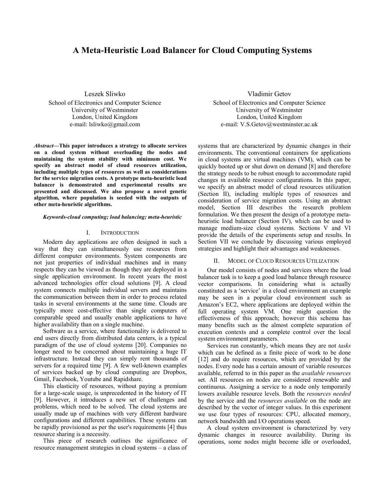## **A Meta-Heuristic Load Balancer for Cloud Computing Systems**

Leszek Sliwko

School of Electronics and Computer Science University of Westminster London, United Kingdom e-mail: lsliwko@gmail.com

*Abstract***—This paper introduces a strategy to allocate services on a cloud system without overloading the nodes and maintaining the system stability with minimum cost. We specify an abstract model of cloud resources utilization, including multiple types of resources as well as considerations for the service migration costs. A prototype meta-heuristic load balancer is demonstrated and experimental results are presented and discussed. We also propose a novel genetic algorithm, where population is seeded with the outputs of other meta-heuristic algorithms.** 

#### *Keywords-cloud computing; load balancing; meta-heuristic*

#### I. INTRODUCTION

Modern day applications are often designed in such a way that they can simultaneously use resources from different computer environments. System components are not just properties of individual machines and in many respects they can be viewed as though they are deployed in a single application environment. In recent years the most advanced technologies offer cloud solutions [9]. A cloud system connects multiple individual servers and maintains the communication between them in order to process related tasks in several environments at the same time. Clouds are typically more cost-effective than single computers of comparable speed and usually enable applications to have higher availability than on a single machine.

Software as a service, where functionality is delivered to end users directly from distributed data centers, is a typical paradigm of the use of cloud systems [20]. Companies no longer need to be concerned about maintaining a huge IT infrastructure. Instead they can simply rent thousands of servers for a required time [9]. A few well-known examples of services backed up by cloud computing are Dropbox, Gmail, Facebook, Youtube and Rapidshare.

This elasticity of resources, without paying a premium for a large-scale usage, is unprecedented in the history of IT [9]. However, it introduces a new set of challenges and problems, which need to be solved. The cloud systems are usually made up of machines with very different hardware configurations and different capabilities. These systems can be rapidly provisioned as per the user's requirements [4] thus resource sharing is a necessity.

This piece of research outlines the significance of resource management strategies in cloud systems – a class of

Vladimir Getov

School of Electronics and Computer Science University of Westminster London, United Kingdom e-mail: V.S.Getov@westminster.ac.uk

systems that are characterized by dynamic changes in their environments. The conventional containers for applications in cloud systems are virtual machines (VM), which can be quickly booted up or shut down on demand [8] and therefore the strategy needs to be robust enough to accommodate rapid changes in available resource configurations. In this paper, we specify an abstract model of cloud resources utilization (Section II), including multiple types of resources and consideration of service migration costs. Using an abstract model, Section III describes the research problem formulation. We then present the design of a prototype metaheuristic load balancer (Section IV), which can be used to manage medium-size cloud systems. Sections V and VI provide the details of the experiments setup and results. In Section VII we conclude by discussing various employed strategies and highlight their advantages and weaknesses.

#### II. MODEL OF CLOUD RESOURCES UTILIZATION

Our model consists of nodes and services where the load balancer task is to keep a good load balance through resource vector comparisons. In considering what is actually constituted as a 'service' in a cloud environment an example may be seen in a popular cloud environment such as Amazon's EC2, where applications are deployed within the full operating system VM. One might question the effectiveness of this approach; however this schema has many benefits such as the almost complete separation of execution contexts and a complete control over the local system environment parameters.

Services run constantly, which means they are not *tasks* which can be defined as a finite piece of work to be done [12] and do require resources, which are provided by the nodes. Every node has a certain amount of variable resources available, referred to in this paper as the *available resources*  set. All resources on nodes are considered renewable and continuous. Assigning a service to a node only temporarily lowers available resource levels. Both the *resources needed* by the service and the *resources available* on the node are described by the vector of integer values. In this experiment we use four types of resources: CPU, allocated memory, network bandwidth and I/O operations speed.

A cloud system environment is characterized by very dynamic changes in resource availability. During its operations, some nodes might become idle or overloaded,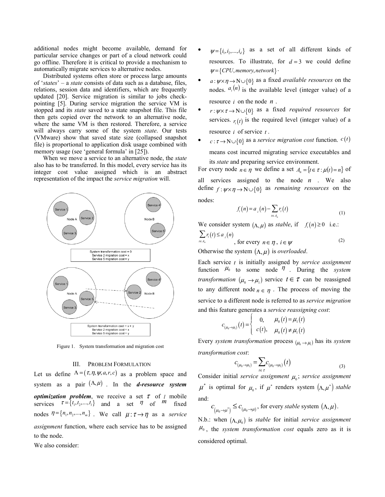additional nodes might become available, demand for particular service changes or part of a cloud network could go offline. Therefore it is critical to provide a mechanism to automatically migrate services to alternative nodes.

Distributed systems often store or process large amounts of '*states*' – a *state* consists of data such as a database, files, relations, session data and identifiers, which are frequently updated [20]. Service migration is similar to jobs checkpointing [5]. During service migration the service VM is stopped and its *state* saved to a state snapshot file. This file then gets copied over the network to an alternative node, where the same VM is then restored. Therefore, a service will always carry some of the system *state*. Our tests (VMware) show that saved state size (collapsed snapshot file) is proportional to application disk usage combined with memory usage (see 'general formula' in [25]).

When we move a service to an alternative node, the *state* also has to be transferred. In this model, every service has its integer cost value assigned which is an abstract representation of the impact the *service migration* will.



Figure 1. System transformation and migration cost

#### III. PROBLEM FORMULATION

Let us define  $\Lambda = (\tau, \eta, \psi, a, r, c)$  as a problem space and system as a pair  $(A, \mu)$ . In the *d*-resource system *optimization problem*, we receive a set  $\tau$  of  $\ell$  mobile services  $\tau = \{t_1, t_2, ..., t_i\}$  and a set  $\eta$  of *m* fixed nodes  $\eta = \{n_1, n_2, ..., n_m\}$ . We call  $\mu : \tau \rightarrow \eta$  as a *service assignment* function, where each service has to be assigned to the node.

We also consider:

- $\psi = \{i_1, i_2, \dots, i_d\}$  as a set of all different kinds of resources. To illustrate, for  $d=3$  we could define  $\psi = \{CPU, memory, network\}$ .
- $a: \psi \times \eta \to N \cup \{0\}$  as a fixed *available resources* on the nodes.  $a_i(n)$  is the available level (integer value) of a resource *i* on the node *n* .
- $r: \psi \times \tau \to N \cup \{0\}$  as a fixed *required resources* for services.  $r_i(t)$  is the required level (integer value) of a resource *i* of service *t* .
- $c: \tau \to N \cup \{0\}$  as a *service migration cost* function.  $c(t)$ means cost incurred migrating service executables and its *state* and preparing service environment.

For every node  $n \in \eta$  we define a set  $A_n = \{ t \in \tau : \mu(t) = n \}$  of all services assigned to the node *n* . We also define  $f: \psi \times \eta \to N \cup \{0\}$  as *remaining resources* on the nodes:

$$
f_i(n) = a_i(n) - \sum_{i \in A_n} r_i(t)
$$
 (1)

We consider system  $(A, \mu)$  as *stable*, if  $f_i(n) \ge 0$  i.e.:

$$
\sum_{i \in A_n} r_i(t) \le a_i(n)
$$
, for every  $n \in \eta$ ,  $i \in \psi$  (2)

Otherwise the system  $(\Lambda, \mu)$  is *overloaded*.

Each service *t* is initially assigned by *service assignment* function  $\mu_0$  to some node  $\eta$ . During the *system transformation*  $(\mu_0 \to \mu_1)$  service  $t \in \tau$  can be reassigned to any different node  $n \in \eta$ . The process of moving the service to a different node is referred to as *service migration* and this feature generates a *service reassigning cost*:

$$
c_{(\mu_0 \to \mu_1)}(t) = \begin{cases} 0, & \mu_0(t) = \mu_1(t) \\ c(t), & \mu_0(t) \neq \mu_1(t) \end{cases}
$$

Every *system transformation* process  $(\mu_0 \rightarrow \mu_1)$  has its *system transformation cost*:

$$
c_{(\mu_0 \to \mu_1)} = \sum_{t \in \tau} c_{(\mu_0 \to \mu_1)}(t)
$$
 (3)

Consider initial *service assignment*  $\mu_0$ ; *service assignment*  $\mu^*$  is optimal for  $\mu_0$ , if  $\mu^*$  renders system  $(\Lambda, \mu^*)$  stable and:

$$
c_{\left(\mu_0 \to \mu^*\right)} \leq c_{\left(\mu_0 \to \mu\right)}, \text{ for every stable system } (\Lambda, \mu).
$$

N.b.: when  $(\Lambda, \mu_0)$  is *stable* for initial *service assignment*  $\mu_0$ , the *system transformation cost* equals zero as it is considered optimal.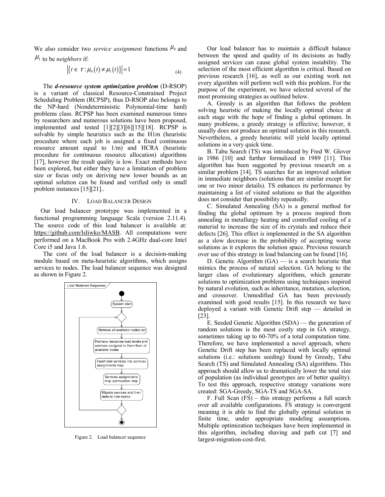We also consider two *service assignment* functions  $\mu_0$  and

 $\mu$ <sup>1</sup> to be *neighbors* if:

$$
\left| \left\{ t \in \tau : \mu_0(t) \neq \mu_1(t) \right\} \right| = 1 \tag{4}
$$

The *d-resource system optimization problem* (D-RSOP) is a variant of classical Resource-Constrained Project Scheduling Problem (RCPSP), thus D-RSOP also belongs to the NP-hard (Nondeterministic Polynomial-time hard) problems class. RCPSP has been examined numerous times by researchers and numerous solutions have been proposed, implemented and tested [1][2][3][6][15][18]. RCPSP is solvable by simple heuristics such as the H1m (heuristic procedure where each job is assigned a fixed continuous resource amount equal to 1/m) and HCRA (heuristic procedure for continuous resource allocation) algorithms [17], however the result quality is low. Exact methods have been explored, but either they have a limitation of problem size or focus only on deriving new lower bounds as an optimal solution can be found and verified only in small problem instances [15][21]...

#### IV. LOAD BALANCER DESIGN

Our load balancer prototype was implemented in a functional programming language Scala (version 2.11.4). The source code of this load balancer is available at: https://github.com/lsliwko/MASB. All computations were performed on a MacBook Pro with 2.4GHz dual-core Intel Core i5 and Java 1.6.

The core of the load balancer is a decision-making module based on meta-heuristic algorithms, which assigns services to nodes. The load balancer sequence was designed as shown in Figure 2.



Figure 2. Load balancer sequence

Our load balancer has to maintain a difficult balance between the speed and quality of its decisions as badly assigned services can cause global system instability. The selection of the most efficient algorithm is critical. Based on previous research [16], as well as our existing work not every algorithm will perform well with this problem. For the purpose of the experiment, we have selected several of the most promising strategies as outlined below.

A. Greedy is an algorithm that follows the problem solving heuristic of making the locally optimal choice at each stage with the hope of finding a global optimum. In many problems, a greedy strategy is effective; however, it usually does not produce an optimal solution in this research. Nevertheless, a greedy heuristic will yield locally optimal solutions in a very quick time.

B. Tabu Search (TS) was introduced by Fred W. Glover in 1986 [10] and further formalized in 1989 [11]. This algorithm has been suggested by previous research on a similar problem [14]. TS searches for an improved solution in immediate neighbors (solutions that are similar except for one or two minor details). TS enhances its performance by maintaining a list of visited solutions so that the algorithm does not consider that possibility repeatedly.

C. Simulated Annealing (SA) is a general method for finding the global optimum by a process inspired from annealing in metallurgy heating and controlled cooling of a material to increase the size of its crystals and reduce their defects [26]. This effect is implemented in the SA algorithm as a slow decrease in the probability of accepting worse solutions as it explores the solution space. Previous research over use of this strategy in load balancing can be found [16].

D. Genetic Algorithm  $(GA)$  — is a search heuristic that mimics the process of natural selection. GA belong to the larger class of evolutionary algorithms, which generate solutions to optimization problems using techniques inspired by natural evolution, such as inheritance, mutation, selection, and crossover. Unmodified GA has been previously examined with good results [15]. In this research we have deployed a variant with Genetic Drift step — detailed in [23].

E. Seeded Genetic Algorithm (SDA) — the generation of random solutions is the most costly step in GA strategy, sometimes taking up to 60-70% of a total computation time. Therefore, we have implemented a novel approach, where Genetic Drift step has been replaced with locally optimal solutions (i.e.: solutions seeding) found by Greedy, Tabu Search (TS) and Simulated Annealing (SA) algorithms. This approach should allow us to dramatically lower the total size of population (as individual genotypes are of better quality). To test this approach, respective strategy variations were created: SGA-Greedy, SGA-TS and SGA-SA.

F. Full Scan (FS) – this strategy performs a full search over all available configurations. FS strategy is convergent meaning it is able to find the globally optimal solution in finite time, under appropriate modeling assumptions. Multiple optimization techniques have been implemented in this algorithm, including shaving and path cut [7] and largest-migration-cost-first.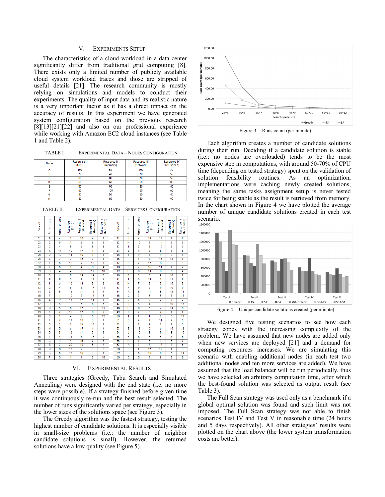## V. EXPERIMENTS SETUP

The characteristics of a cloud workload in a data center significantly differ from traditional grid computing [8]. There exists only a limited number of publicly available cloud system workload traces and those are stripped of useful details [21]. The research community is mostly relying on simulations and models to conduct their experiments. The quality of input data and its realistic nature is a very important factor as it has a direct impact on the accuracy of results. In this experiment we have generated system configuration based on the previous research [8][13][21][22] and also on our professional experience while working with Amazon EC2 cloud instances (see Table 1 and Table 2).

TABLE I. EXPERIMENTAL DATA – NODES CONFIGURATION

| Node | <b>Resource I</b><br>(CPU) | <b>Resource II</b><br>(Memory) | <b>Resource III</b><br>(Network) | <b>Resource IV</b><br>$(1/0$ speed) |
|------|----------------------------|--------------------------------|----------------------------------|-------------------------------------|
|      | 100                        |                                | 100                              |                                     |
|      | 70                         |                                | 70                               | 50                                  |
|      | 50                         | 80                             |                                  |                                     |
|      | 60                         | 60                             | 50                               | 80                                  |
|      | 50                         | 90                             | 80                               | 40                                  |
|      | 60                         | 100                            | 50                               | 60                                  |
| ι.   | 80                         | 50                             | 50                               | 40                                  |
| н    | 80                         | 80                             | 80                               | on                                  |

TABLE II. EXPERIMENTAL DATA – SERVICES CONFIGURATION

| Service         | Initial node            | <b>Migration</b> cost | Resource<br>6<br>S                   | Resource II<br>(Memory) | Resource III<br>(Network)            | (I/O speed)<br>Resource IV | Service         | Initial node            | Migration cost          | Resource<br>(CBL)         | Resource II<br>(Memory)   | Resource III<br>(Network) | (I/O speed)<br>Resource IV |
|-----------------|-------------------------|-----------------------|--------------------------------------|-------------------------|--------------------------------------|----------------------------|-----------------|-------------------------|-------------------------|---------------------------|---------------------------|---------------------------|----------------------------|
| $\overline{01}$ | Ā                       | $\overline{4}$        | 1                                    | 10                      | 4                                    | $\overline{2}$             | 31              | J                       | 4                       | 19                        | 18                        | ī                         | 8                          |
| 02              | c                       | 5                     | 1                                    | $\overline{6}$          | 5                                    | $\overline{2}$             | 32              | Ή                       | 10                      | $\overline{6}$            | 14                        | 3                         | 7                          |
| 0 <sup>3</sup>  | G                       | 4                     | 5                                    | 2                       | 5                                    | 6                          | 33              | ı                       | $\overline{2}$          | 3                         | 10                        | 3                         | 2                          |
| 04              | Ä                       | $\overline{17}$       | 10                                   | 17                      | ī                                    | $\overline{2}$             | 34              | E                       | 4                       | 2                         | $\overline{\mathbf{8}}$   | 1                         | 8                          |
| 05              | D                       | 10                    | 14                                   | 10                      | ī                                    | ī                          | 35              | Ē                       | 9                       | $\overline{\mathbf{8}}$   | $\overline{9}$            | 9                         | 5                          |
| 06              | c                       | 3                     | $\overline{\mathbf{3}}$              | 12                      | 3                                    | 8                          | 36              | F                       | 4                       | 8                         | 15                        | 13                        | ī                          |
| $\overline{07}$ | c                       | 6                     | 15                                   | 2                       | 18                                   | 3                          | $\overline{37}$ | $\overline{\mathsf{G}}$ | $\overline{2}$          | $\overline{12}$           | $\overline{\mathbf{8}}$   | $\overline{\mathbf{5}}$   | 3                          |
| 08              | F                       | $\overline{6}$        | ī                                    | 4                       | 8                                    | $\overline{4}$             | 38              | Ē                       | 2                       | 16                        | $\overline{11}$           | ī                         | 2                          |
| 09              | Đ                       | 4                     | 4                                    | 3                       | $\overline{17}$                      | 10                         | 39              | D                       | 8                       | 13                        | $\overline{\mathbf{8}}$   | $\overline{6}$            | 4                          |
| $\overline{10}$ | ъ                       | 4                     | $\overline{\bf 8}$                   | 19                      | $\overline{19}$                      | $\overline{\mathbf{8}}$    | 40              | $\overline{\mathsf{G}}$ | 3                       | $\overline{6}$            | 9                         | $\overline{10}$           | ī                          |
| $\overline{11}$ | B                       | 8                     | 5                                    | 9                       | 18                                   | 4                          | 41              | T                       | $\overline{6}$          | 14                        | ī                         | $\overline{11}$           | $\overline{\mathbf{8}}$    |
| 12              | T                       | $\overline{6}$        | 16                                   | 14                      | 3                                    | $\overline{2}$             | 42              | Ή                       | 7                       | 8                         | 3                         | 10                        | 3                          |
| $\overline{13}$ | $\overline{\mathsf{G}}$ | 4                     | $\overline{6}$                       | 5                       | $\overline{17}$                      | $\overline{11}$            | 43              | F                       | 9                       | 9                         | 9                         | $\overline{10}$           | 9                          |
| $\overline{14}$ | Ē                       | 5                     | 18                                   | $\overline{11}$         | 13                                   | 4                          | 44              | Ā                       | $\overline{\mathbf{8}}$ | $\overline{11}$           | $\overline{\mathbf{8}}$   | 12                        | $\overline{11}$            |
| 15              | F                       | T                     | 10                                   | 9                       | 12                                   | $\overline{\mathbf{8}}$    | 45              | c                       | 2                       | 5                         | 5                         | 7                         | 18                         |
| $\overline{16}$ | A                       | 9                     | $\overline{12}$                      | $\overline{17}$         | $\overline{14}$                      | 1                          | 46              | $\overline{\mathsf{G}}$ | 6                       | 2                         | 7                         | 3                         | 2                          |
| $\overline{17}$ | Đ                       | 5                     | $\overline{\overline{3}}$            | $\overline{6}$          | $\overline{\overline{\overline{8}}}$ | $\overline{6}$             | 47              | J                       | 5                       | 4                         | $\overline{\overline{3}}$ | 10                        | $\overline{16}$            |
| $\overline{18}$ | B                       | 5                     | $\overline{\overline{\overline{8}}}$ | 12                      | 3                                    | $\overline{11}$            | 48              | Ή                       |                         | 5                         | 2                         | $\overline{14}$           | 8                          |
| $\overline{19}$ | $\overline{\mathsf{c}}$ | 7                     | $\overline{15}$                      | $\overline{12}$         |                                      | $\overline{9}$             | 49              | $\overline{B}$          | 2                       | $\overline{6}$            | 7                         | 1                         | $\overline{1}$             |
| $\overline{20}$ | $\overline{\mathsf{G}}$ | ī                     | $\overline{4}$                       |                         | $\overline{6}$                       | 12                         | 50              | ı                       | 1                       | 1                         | 9                         | $\overline{6}$            | $\overline{13}$            |
| $\overline{21}$ | F                       | 7                     | $\overline{12}$                      | $\overline{10}$         | $\overline{5}$                       | T                          | 51              | $\overline{\mathsf{G}}$ | 4                       | 4                         | $\overline{11}$           | $\overline{9}$            | $\overline{6}$             |
| $\overline{22}$ | $\overline{\mathsf{G}}$ | 2                     | 3                                    | 16                      | $\overline{16}$                      | $\overline{2}$             | 52              | τ                       | 3                       | 7                         | $\overline{2}$            | 7                         | 5                          |
| $\overline{23}$ | Ħ                       | 5                     | $\overline{6}$                       | $\overline{19}$         | ī                                    | 4                          | 53              | Έ                       | $\overline{12}$         | $\overline{6}$            | $\overline{6}$            | $\overline{10}$           | $\overline{12}$            |
| $\overline{24}$ | $\overline{\mathsf{D}}$ |                       | 16                                   | $\overline{11}$         | $\overline{2}$                       | 3                          | 54              | J                       | 10                      | $\overline{\overline{3}}$ | 9                         | $\overline{\mathbf{8}}$   | 10                         |
| $\overline{25}$ | F                       | 4                     | 14                                   | 8                       | 15                                   | 9                          | 55              | K                       | $\overline{\mathbf{8}}$ | 5                         | 5                         | 4                         | 8                          |
| $\overline{26}$ | $\overline{\mathsf{G}}$ | 10                    | $\overline{4}$                       | 15                      | 7                                    | 8                          | 56              | Ή                       | 7                       | 6                         | 3                         | 5                         | 7                          |
| $\overline{27}$ | B                       | 2                     | $\overline{20}$                      | 19                      | 5                                    | $\overline{2}$             | 57              | Ā                       | 3                       | 8                         | 12                        | $\overline{2}$            | $\overline{6}$             |
| 28              | B                       | 8                     | 16                                   | $\overline{2}$          | 3                                    | 5                          | 58              | F                       | 1                       | 12                        | $\overline{17}$           | 1                         | 9                          |
| 29              | G                       | 6                     | 16                                   | 10                      | 3                                    | T                          | 59              | F                       | 6                       | 10                        | 8                         | 6                         | 14                         |
| 30              | F                       | 5                     | 1                                    | 1                       | 3                                    | 10                         | 60              | c                       | 5                       | 9                         | $\overline{2}$            | 3                         | $\overline{\mathbf{8}}$    |

### VI. EXPERIMENTAL RESULTS

Three strategies (Greedy, Tabu Search and Simulated Annealing) were designed with the end state (i.e. no more steps were possible). If a strategy finished before given time it was continuously re-run and the best result selected. The number of runs significantly varied per strategy, especially in the lower sizes of the solutions space (see Figure 3).

The Greedy algorithm was the fastest strategy, testing the highest number of candidate solutions. It is especially visible in small-size problems (i.e.: the number of neighbor candidate solutions is small). However, the returned solutions have a low quality (see Figure 5).



Each algorithm creates a number of candidate solutions during their run. Deciding if a candidate solution is stable (i.e.: no nodes are overloaded) tends to be the most expensive step in computations, with around 50-70% of CPU time (depending on tested strategy) spent on the validation of solution feasibility routines. As an optimization, implementations were caching newly created solutions, meaning the same tasks assignment setup is never tested twice for being stable as the result is retrieved from memory. In the chart shown in Figure 4 we have plotted the average number of unique candidate solutions created in each test scenario.



Figure 4. Unique candidate solutions created (per minute)

We designed five testing scenarios to see how each strategy copes with the increasing complexity of the problem. We have assumed that new nodes are added only when new services are deployed [21] and a demand for computing resources increases. We are simulating this scenario with enabling additional nodes (in each test two additional nodes and ten more services are added). We have assumed that the load balancer will be run periodically, thus we have selected an arbitrary computation time, after which the best-found solution was selected as output result (see Table 3).

The Full Scan strategy was used only as a benchmark if a global optimal solution was found and such limit was not imposed. The Full Scan strategy was not able to finish scenarios Test IV and Test V in reasonable time (24 hours and 5 days respectively). All other strategies' results were plotted on the chart above (the lower system transformation costs are better).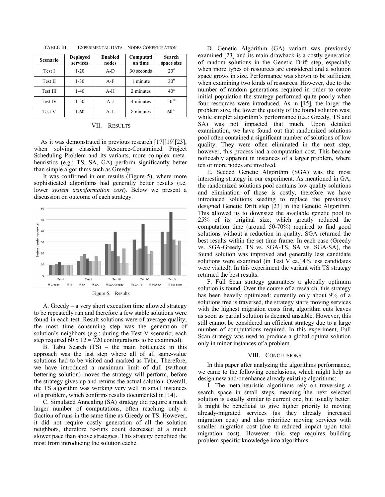| <b>Scenario</b> | <b>Deployed</b><br>services | Enabled<br>nodes | Computati<br>on time | Search<br>space size |  |  |
|-----------------|-----------------------------|------------------|----------------------|----------------------|--|--|
| Test I          | $1-20$                      | $A-D$            | 30 seconds           | $20^{4}$             |  |  |
| Test II         | $1-30$                      | $A-F$            | 1 minute             | $30^{6}$             |  |  |
| Test III        | $1-40$                      | $A-H$            | 2 minutes            | 40 <sup>8</sup>      |  |  |
| Test IV         | $1-50$                      | A-J              | 4 minutes            | $50^{10}$            |  |  |
| Test V          | $1-60$                      | $A-I$ .          | 8 minutes            | $60^{12}$            |  |  |

TABLE III. EXPERIMENTAL DATA – NODES CONFIGURATION

#### VII. RESULTS

As it was demonstrated in previous research [17][19][23], when solving classical Resource-Constrained Project Scheduling Problem and its variants, more complex metaheuristics (e.g.: TS, SA, GA) perform significantly better than simple algorithms such as Greedy.

It was confirmed in our results (Figure 5), where more sophisticated algorithms had generally better results (i.e. lower *system transformation cost*). Below we present a discussion on outcome of each strategy.



A. Greedy – a very short execution time allowed strategy to be repeatedly run and therefore a few stable solutions were found in each test. Result solutions were of average quality; the most time consuming step was the generation of solution's neighbors (e.g.: during the Test V scenario, each step required 60 x  $12 = 720$  configurations to be examined).

B. Tabu Search (TS) – the main bottleneck in this approach was the last step where all of all same-value solutions had to be visited and marked as Tabu. Therefore, we have introduced a maximum limit of dull (without bettering solution) moves the strategy will perform, before the strategy gives up and returns the actual solution. Overall, the TS algorithm was working very well in small instances of a problem, which confirms results documented in [14].

C. Simulated Annealing (SA) strategy did require a much larger number of computations, often reaching only a fraction of runs in the same time as Greedy or TS. However, it did not require costly generation of all the solution neighbors, therefore re-runs count decreased at a much slower pace than above strategies. This strategy benefited the most from introducing the solution cache.

D. Genetic Algorithm (GA) variant was previously examined [23] and its main drawback is a costly generation of random solutions in the Genetic Drift step, especially when more types of resources are considered and a solution space grows in size. Performance was shown to be sufficient when examining two kinds of resources. However, due to the number of random generations required in order to create initial population the strategy performed quite poorly when four resources were introduced. As in [15], the larger the problem size, the lower the quality of the found solution was; while simpler algorithm's performance (i.a.: Greedy, TS and SA) was not impacted that much. Upon detailed examination, we have found out that randomized solutions pool often contained a significant number of solutions of low quality. They were often eliminated in the next step; however, this process had a computation cost. This became noticeably apparent in instances of a larger problem, where ten or more nodes are involved.

E. Seeded Genetic Algorithm (SGA) was the most interesting strategy in our experiment. As mentioned in GA, the randomized solutions pool contains low quality solutions and elimination of those is costly, therefore we have introduced solutions seeding to replace the previously designed Genetic Drift step [23] in the Genetic Algorithm. This allowed us to downsize the available genetic pool to 25% of its original size, which greatly reduced the computation time (around 50-70%) required to find good solutions without a reduction in quality. SGA returned the best results within the set time frame. In each case (Greedy vs. SGA-Greedy, TS vs. SGA-TS, SA vs. SGA-SA), the found solution was improved and generally less candidate solutions were examined (in Test V ca.14% less candidates were visited). In this experiment the variant with TS strategy returned the best results.

F. Full Scan strategy guarantees a globally optimum solution is found. Over the course of a research, this strategy has been heavily optimized: currently only about 9% of a solutions tree is traversed, the strategy starts moving services with the highest migration costs first, algorithm cuts leaves as soon as partial solution is deemed unstable. However, this still cannot be considered an efficient strategy due to a large number of computations required. In this experiment, Full Scan strategy was used to produce a global optima solution only in minor instances of a problem.

#### VIII. CONCLUSIONS

In this paper after analyzing the algorithms performance, we came to the following conclusions, which might help us design new and/or enhance already existing algorithms:

1. The meta-heuristic algorithms rely on traversing a search space in small steps, meaning the next selected solution is usually similar to current one, but usually better. It might be beneficial to give higher priority to moving already-migrated services (as they already increased migration cost) and also prioritize moving services with smaller migration cost (due to reduced impact upon total migration cost). However, this step requires building problem-specific knowledge into algorithms.